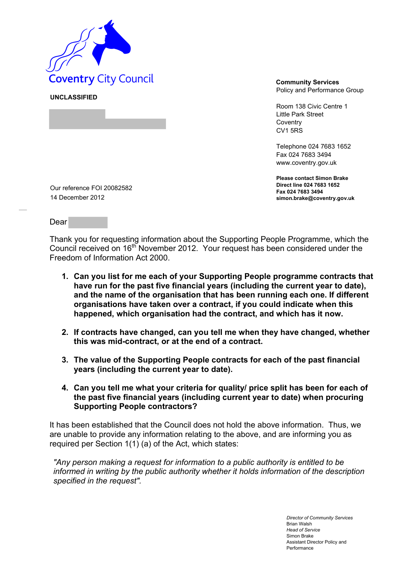

**UNCLASSIFIED** 

Policy and Performance Group

Room 138 Civic Centre 1 Little Park Street **Coventry** CV1 5RS

Telephone 024 7683 1652 Fax 024 7683 3494 www.coventry.gov.uk

**Please contact Simon Brake Direct line 024 7683 1652 Fax 024 7683 3494 simon.brake@coventry.gov.uk** 

Our reference FOI 20082582 14 December 2012

Dear

Thank you for requesting information about the Supporting People Programme, which the Council received on 16th November 2012. Your request has been considered under the Freedom of Information Act 2000.

- **1. Can you list for me each of your Supporting People programme contracts that have run for the past five financial years (including the current year to date), and the name of the organisation that has been running each one. If different organisations have taken over a contract, if you could indicate when this happened, which organisation had the contract, and which has it now.**
- **2. If contracts have changed, can you tell me when they have changed, whether this was mid-contract, or at the end of a contract.**
- **3. The value of the Supporting People contracts for each of the past financial years (including the current year to date).**
- **4. Can you tell me what your criteria for quality/ price split has been for each of the past five financial years (including current year to date) when procuring Supporting People contractors?**

It has been established that the Council does not hold the above information. Thus, we are unable to provide any information relating to the above, and are informing you as required per Section 1(1) (a) of the Act, which states:

*"Any person making a request for information to a public authority is entitled to be informed in writing by the public authority whether it holds information of the description specified in the request".*

> *Director of Community Services*  Brian Walsh *Head of Service*  Simon Brake Assistant Director Policy and Performance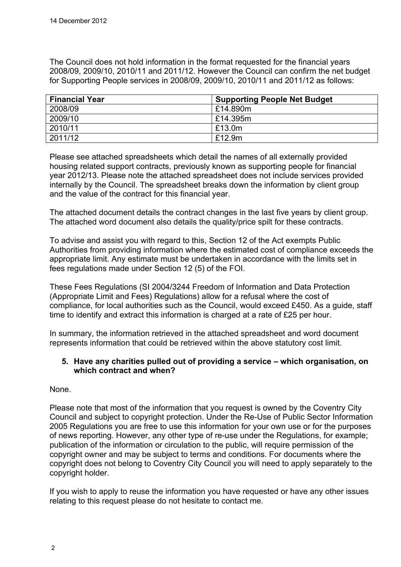The Council does not hold information in the format requested for the financial years 2008/09, 2009/10, 2010/11 and 2011/12. However the Council can confirm the net budget for Supporting People services in 2008/09, 2009/10, 2010/11 and 2011/12 as follows:

| <b>Financial Year</b> | <b>Supporting People Net Budget</b> |
|-----------------------|-------------------------------------|
| 2008/09               | £14.890m                            |
| 2009/10               | £14.395m                            |
| 2010/11               | £13.0m                              |
| 2011/12               | £12.9m                              |

Please see attached spreadsheets which detail the names of all externally provided housing related support contracts, previously known as supporting people for financial year 2012/13. Please note the attached spreadsheet does not include services provided internally by the Council. The spreadsheet breaks down the information by client group and the value of the contract for this financial year.

The attached document details the contract changes in the last five years by client group. The attached word document also details the quality/price spilt for these contracts.

To advise and assist you with regard to this, Section 12 of the Act exempts Public Authorities from providing information where the estimated cost of compliance exceeds the appropriate limit. Any estimate must be undertaken in accordance with the limits set in fees regulations made under Section 12 (5) of the FOI.

These Fees Regulations (SI 2004/3244 Freedom of Information and Data Protection (Appropriate Limit and Fees) Regulations) allow for a refusal where the cost of compliance, for local authorities such as the Council, would exceed £450. As a guide, staff time to identify and extract this information is charged at a rate of £25 per hour.

In summary, the information retrieved in the attached spreadsheet and word document represents information that could be retrieved within the above statutory cost limit.

## **5. Have any charities pulled out of providing a service – which organisation, on which contract and when?**

None.

Please note that most of the information that you request is owned by the Coventry City Council and subject to copyright protection. Under the Re-Use of Public Sector Information 2005 Regulations you are free to use this information for your own use or for the purposes of news reporting. However, any other type of re-use under the Regulations, for example; publication of the information or circulation to the public, will require permission of the copyright owner and may be subject to terms and conditions. For documents where the copyright does not belong to Coventry City Council you will need to apply separately to the copyright holder.

If you wish to apply to reuse the information you have requested or have any other issues relating to this request please do not hesitate to contact me.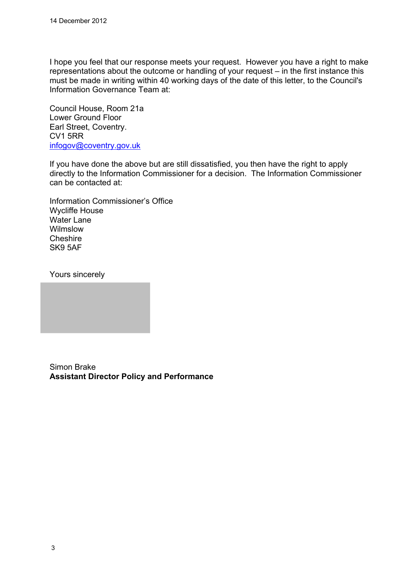I hope you feel that our response meets your request. However you have a right to make representations about the outcome or handling of your request – in the first instance this must be made in writing within 40 working days of the date of this letter, to the Council's Information Governance Team at:

Council House, Room 21a Lower Ground Floor Earl Street, Coventry. CV1 5RR [infogov@coventry.gov.uk](mailto:infogov@coventry.gov.uk)

If you have done the above but are still dissatisfied, you then have the right to apply directly to the Information Commissioner for a decision. The Information Commissioner can be contacted at:

Information Commissioner's Office Wycliffe House Water Lane Wilmslow **Cheshire** SK9 5AF

Yours sincerely

Simon Brake **Assistant Director Policy and Performance**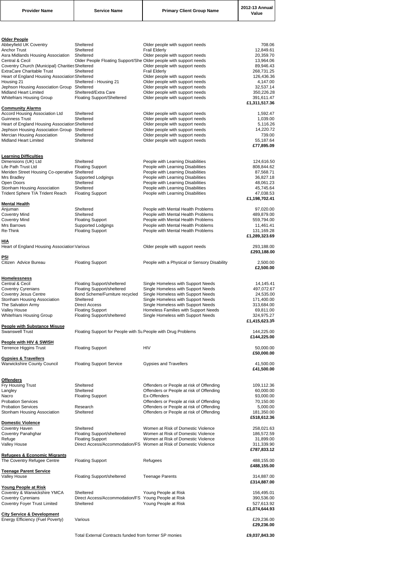| <b>Provider Name</b> | <b>Service Name</b> | <b>Primary Client Group Name</b> | 2012-13 Annual<br>Value |  |
|----------------------|---------------------|----------------------------------|-------------------------|--|
|----------------------|---------------------|----------------------------------|-------------------------|--|

| <b>Older People</b> |  |
|---------------------|--|

| <b>Older People</b>                                              |                                                                   |                                                                            |                         |
|------------------------------------------------------------------|-------------------------------------------------------------------|----------------------------------------------------------------------------|-------------------------|
| Abbeyfield UK Coventry<br>Anchor Trust                           | Sheltered<br>Sheltered                                            | Older people with support needs                                            | 708.06                  |
| Asra Midlands Housing Association                                | Sheltered                                                         | <b>Frail Elderly</b><br>Older people with support needs                    | 12,849.61<br>20,359.70  |
| <b>Central &amp; Cecil</b>                                       | Older People Floating Support/She Older people with support needs |                                                                            | 13,964.06               |
| Coventry Church (Municipal) Charities Sheltered                  |                                                                   | Older people with support needs                                            | 89,946.43               |
| <b>ExtraCare Charitable Trust</b>                                | Sheltered                                                         | <b>Frail Elderly</b>                                                       | 268,731.25              |
| Heart of England Housing Association Sheltered                   |                                                                   | Older people with support needs                                            | 126,436.36              |
| Housing 21                                                       | Sheltered - Housing 21                                            | Older people with support needs                                            | 4,147.00                |
| Jephson Housing Association Group Sheltered                      |                                                                   | Older people with support needs                                            | 32,537.14               |
| <b>Midland Heart Limited</b>                                     | Sheltered/Extra Care                                              | Older people with support needs                                            | 350,226.28              |
| Whitefriars Housing Group                                        | <b>Floating Support/Sheltered</b>                                 | Older people with support needs                                            | 391,611.47              |
|                                                                  |                                                                   |                                                                            | £1,311,517.36           |
| <b>Community Alarms</b><br><b>Accord Housing Association Ltd</b> | Sheltered                                                         | Older people with support needs                                            | 1,592.47                |
| <b>Guinness Trust</b>                                            | Sheltered                                                         | Older people with support needs                                            | 1,039.00                |
| Heart of England Housing Association Sheltered                   |                                                                   | Older people with support needs                                            | 5,116.26                |
| Jephson Housing Association Group Sheltered                      |                                                                   | Older people with support needs                                            | 14,220.72               |
| Mercian Housing Association                                      | Sheltered                                                         | Older people with support needs                                            | 739.00                  |
| <b>Midland Heart Limited</b>                                     | Sheltered                                                         | Older people with support needs                                            | 55,187.64               |
|                                                                  |                                                                   |                                                                            | £77,895.09              |
|                                                                  |                                                                   |                                                                            |                         |
| <b>Learning Difficulties</b>                                     |                                                                   |                                                                            |                         |
| Dimensions (UK) Ltd                                              | Sheltered                                                         | People with Learning Disabilities                                          | 124,616.50              |
| Life Path Trust Ltd                                              | <b>Floating Support</b>                                           | People with Learning Disabilities                                          | 808,844.62              |
| Meriden Street Housing Co-operative Sheltered                    |                                                                   | People with Learning Disabilities                                          | 87,568.71               |
| Mrs Bradley                                                      | Supported Lodgings                                                | People with Learning Disabilities                                          | 36,827.18               |
| Open Doors                                                       | Sheltered                                                         | People with Learning Disabilities                                          | 48,061.23               |
| Stonham Housing Association                                      | Sheltered                                                         | People with Learning Disabilities                                          | 45,745.64               |
| Trident Sphere T/A Trident Reach                                 | <b>Floating Support</b>                                           | People with Learning Disabilities                                          | 47,038.53               |
|                                                                  |                                                                   |                                                                            | £1,198,702.41           |
| <b>Mental Health</b>                                             |                                                                   |                                                                            |                         |
| Anjuman                                                          | Sheltered                                                         | People with Mental Health Problems                                         | 97,020.00               |
| <b>Coventry Mind</b>                                             | Sheltered                                                         | People with Mental Health Problems                                         | 489,879.00              |
| <b>Coventry Mind</b><br>Mrs Barrows                              | <b>Floating Support</b><br>Supported Lodgings                     | People with Mental Health Problems<br>People with Mental Health Problems   | 559,794.00              |
| Re-Think                                                         | <b>Floating Support</b>                                           | People with Mental Health Problems                                         | 11,461.41<br>131,169.28 |
|                                                                  |                                                                   |                                                                            | £1,289,323.69           |
| <u>HIA</u>                                                       |                                                                   |                                                                            |                         |
| Heart of England Housing Association Various                     |                                                                   | Older people with support needs                                            | 293,188.00              |
|                                                                  |                                                                   |                                                                            | £293,188.00             |
| <b>PSI</b>                                                       |                                                                   |                                                                            |                         |
| Citizen Advice Bureau                                            | <b>Floating Support</b>                                           | People with a Physical or Sensory Disability                               | 2,500.00                |
|                                                                  |                                                                   |                                                                            | £2,500.00               |
|                                                                  |                                                                   |                                                                            |                         |
| <b>Homelessness</b>                                              |                                                                   |                                                                            |                         |
| Central & Cecil                                                  | Floating Support/sheltered                                        | Single Homeless with Support Needs                                         | 14,145.41               |
| <b>Coventry Cyrenians</b>                                        | Floating Support/sheltered                                        | Single Homeless with Support Needs                                         | 497,072.67              |
| <b>Coventry Jesus Centre</b>                                     | Bond Scheme/Furniture recycled                                    | Single Homeless with Support Needs                                         | 24,535.00               |
| Stonham Housing Association                                      | Sheltered                                                         | Single Homeless with Support Needs                                         | 171,400.00              |
| The Salvation Army                                               | <b>Direct Access</b>                                              | Single Homeless with Support Needs<br>Homeless Families with Support Needs | 313,684.00              |
| <b>Valley House</b>                                              | <b>Floating Support</b>                                           |                                                                            | 69,811.00<br>324,975.27 |
| <b>Whitefriars Housing Group</b>                                 | <b>Floating Support/sheltered</b>                                 | Single Homeless with Support Needs                                         | £1,415,623.35           |
| <b>People with Substance Misuse</b>                              |                                                                   |                                                                            |                         |
| <b>Swanswell Trust</b>                                           | Floating Support for People with Su People with Drug Problems     |                                                                            | 144,225.00              |
|                                                                  |                                                                   |                                                                            | £144,225.00             |
| People with HIV & SWISH                                          |                                                                   |                                                                            |                         |
| <b>Terrence Higgins Trust</b>                                    | <b>Floating Support</b>                                           | <b>HIV</b>                                                                 | 50,000.00               |
|                                                                  |                                                                   |                                                                            | £50,000.00              |
| <b>Gypsies &amp; Travellers</b>                                  |                                                                   |                                                                            |                         |
| <b>Warwickshire County Council</b>                               | <b>Floating Support Service</b>                                   | <b>Gypsies and Travellers</b>                                              | 41,500.00               |
|                                                                  |                                                                   |                                                                            | £41,500.00              |
|                                                                  |                                                                   |                                                                            |                         |
| <b>Offenders</b>                                                 |                                                                   |                                                                            |                         |
| Fry Housing Trust                                                | Sheltered                                                         | Offenders or People at risk of Offending                                   | 109,112.36              |
| Langley                                                          | Sheltered                                                         | Offenders or People at risk of Offending                                   | 60,000.00               |
| Nacro                                                            | <b>Floating Support</b>                                           | Ex-Offenders                                                               | 93,000.00               |
| <b>Probation Services</b>                                        |                                                                   | Offenders or People at risk of Offending                                   | 70,150.00               |
| <b>Probation Services</b>                                        | Research                                                          | Offenders or People at risk of Offending                                   | 5,000.00                |
| Stonham Housing Association                                      | Sheltered                                                         | Offenders or People at risk of Offending                                   | 181,350.00              |
|                                                                  |                                                                   |                                                                            | £518,612.36             |
| <b>Domestic Violence</b>                                         |                                                                   |                                                                            |                         |

| Coventry Haven                          | Sheltered                                             | Women at Risk of Domestic Violence | 258,021.63    |
|-----------------------------------------|-------------------------------------------------------|------------------------------------|---------------|
| Coventry Panahghar                      | <b>Floating Support/sheltered</b>                     | Women at Risk of Domestic Violence | 186,572.59    |
| Refuge                                  | <b>Floating Support</b>                               | Women at Risk of Domestic Violence | 31,899.00     |
| <b>Valley House</b>                     | Direct Access/Accommodation/FS                        | Women at Risk of Domestic Violence | 311,339.90    |
|                                         |                                                       |                                    | £787,833.12   |
| <b>Refugees &amp; Economic Migrants</b> |                                                       |                                    |               |
| The Coventry Refugee Centre             | <b>Floating Support</b>                               | Refugees                           | 488,155.00    |
|                                         |                                                       |                                    | £488,155.00   |
| <b>Teenage Parent Service</b>           |                                                       |                                    |               |
| <b>Valley House</b>                     | Floating Support/sheltered                            | <b>Teenage Parents</b>             | 314,887.00    |
|                                         |                                                       |                                    | £314,887.00   |
| <b>Young People at Risk</b>             |                                                       |                                    |               |
| Coventry & Warwickshire YMCA            | Sheltered                                             | Young People at Risk               | 156,495.01    |
| <b>Coventry Cyrenians</b>               | Direct Access/Accommodation/FS                        | Young People at Risk               | 390,536.00    |
| <b>Coventry Foyer Trust Limited</b>     | Sheltered                                             | Young People at Risk               | 527,613.92    |
|                                         |                                                       |                                    | £1,074,644.93 |
| <b>City Service &amp; Development</b>   |                                                       |                                    |               |
| Energy Efficiency (Fuel Poverty)        | Various                                               |                                    | £29,236.00    |
|                                         |                                                       |                                    | £29,236.00    |
|                                         | Total External Contracts funded from former SP monies |                                    | £9,037,843.30 |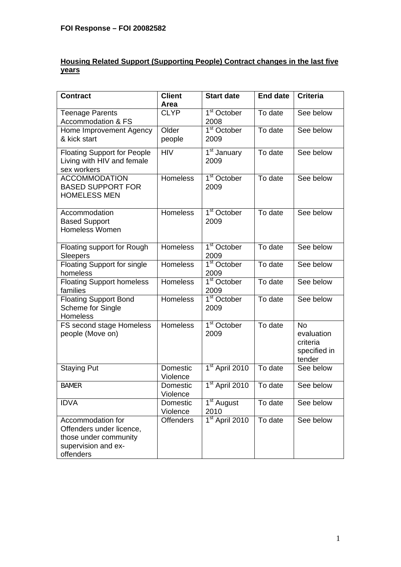## **Housing Related Support (Supporting People) Contract changes in the last five years**

| <b>Contract</b>                                                                                            | <b>Client</b><br>Area | <b>Start date</b>                            | <b>End date</b>                | <b>Criteria</b>                                               |
|------------------------------------------------------------------------------------------------------------|-----------------------|----------------------------------------------|--------------------------------|---------------------------------------------------------------|
| <b>Teenage Parents</b><br><b>Accommodation &amp; FS</b>                                                    | <b>CLYP</b>           | 1 <sup>st</sup> October<br>2008              | To date                        | See below                                                     |
| Home Improvement Agency<br>& kick start                                                                    | Older<br>people       | $1st$ October<br>2009                        | To date                        | See below                                                     |
| <b>Floating Support for People</b><br>Living with HIV and female<br>sex workers                            | <b>HIV</b>            | 1 <sup>st</sup> January<br>2009              | To date                        | See below                                                     |
| <b>ACCOMMODATION</b><br><b>BASED SUPPORT FOR</b><br><b>HOMELESS MEN</b>                                    | <b>Homeless</b>       | $\overline{1}$ <sup>st</sup> October<br>2009 | To date                        | See below                                                     |
| Accommodation<br><b>Based Support</b><br><b>Homeless Women</b>                                             | <b>Homeless</b>       | $\overline{1^{st}}$ October<br>2009          | To date                        | See below                                                     |
| Floating support for Rough<br><b>Sleepers</b>                                                              | <b>Homeless</b>       | 1 <sup>st</sup> October<br>2009              | To date                        | See below                                                     |
| <b>Floating Support for single</b><br>homeless                                                             | <b>Homeless</b>       | 1 <sup>st</sup> October<br>2009              | To date                        | See below                                                     |
| <b>Floating Support homeless</b><br>families                                                               | Homeless              | $1st$ October<br>2009                        | To date                        | See below                                                     |
| <b>Floating Support Bond</b><br>Scheme for Single<br>Homeless                                              | Homeless              | 1 <sup>st</sup> October<br>2009              | To date                        | See below                                                     |
| FS second stage Homeless<br>people (Move on)                                                               | Homeless              | 1 <sup>st</sup> October<br>2009              | $\overline{\mathrm{T}}$ o date | <b>No</b><br>evaluation<br>criteria<br>specified in<br>tender |
| <b>Staying Put</b>                                                                                         | Domestic<br>Violence  | 1 <sup>st</sup> April 2010                   | To date                        | See below                                                     |
| <b>BAMER</b>                                                                                               | Domestic<br>Violence  | $1st$ April 2010                             | To date                        | See below                                                     |
| <b>IDVA</b>                                                                                                | Domestic<br>Violence  | 1 <sup>st</sup> August<br>2010               | To date                        | See below                                                     |
| Accommodation for<br>Offenders under licence,<br>those under community<br>supervision and ex-<br>offenders | <b>Offenders</b>      | 1 <sup>st</sup> April 2010                   | To date                        | See below                                                     |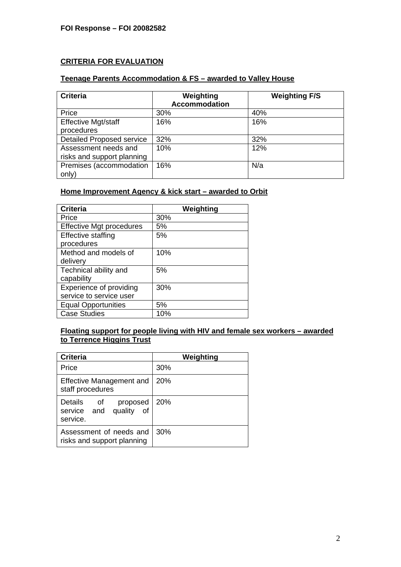## **CRITERIA FOR EVALUATION**

#### **Teenage Parents Accommodation & FS – awarded to Valley House**

| <b>Criteria</b>                  | Weighting<br><b>Accommodation</b> | <b>Weighting F/S</b> |
|----------------------------------|-----------------------------------|----------------------|
| Price                            | 30%                               | 40%                  |
| <b>Effective Mgt/staff</b>       | 16%                               | 16%                  |
| procedures                       |                                   |                      |
| <b>Detailed Proposed service</b> | 32%                               | 32%                  |
| Assessment needs and             | 10%                               | 12%                  |
| risks and support planning       |                                   |                      |
| Premises (accommodation          | 16%                               | N/a                  |
| only)                            |                                   |                      |

#### **Home Improvement Agency & kick start – awarded to Orbit**

| <b>Criteria</b>                 | Weighting |
|---------------------------------|-----------|
| Price                           | 30%       |
| <b>Effective Mgt procedures</b> | 5%        |
| <b>Effective staffing</b>       | 5%        |
| procedures                      |           |
| Method and models of            | 10%       |
| delivery                        |           |
| Technical ability and           | 5%        |
| capability                      |           |
| Experience of providing         | 30%       |
| service to service user         |           |
| <b>Equal Opportunities</b>      | 5%        |
| <b>Case Studies</b>             | 10%       |

## **Floating support for people living with HIV and female sex workers – awarded to Terrence Higgins Trust**

| <b>Criteria</b>                                                    | Weighting  |
|--------------------------------------------------------------------|------------|
| Price                                                              | 30%        |
| Effective Management and<br>staff procedures                       | 20%        |
| Details<br>proposed<br>οf<br>quality of<br>service and<br>service. | <b>20%</b> |
| Assessment of needs and<br>risks and support planning              | 30%        |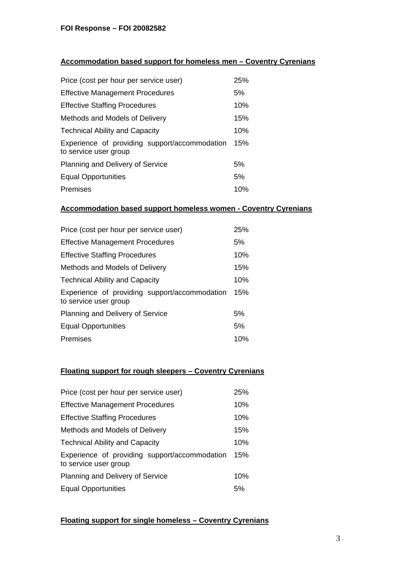## **Accommodation based support for homeless men – Coventry Cyrenians**

| Price (cost per hour per service user)                                 | 25% |
|------------------------------------------------------------------------|-----|
| <b>Effective Management Procedures</b>                                 | 5%  |
| <b>Effective Staffing Procedures</b>                                   | 10% |
| Methods and Models of Delivery                                         | 15% |
| <b>Technical Ability and Capacity</b>                                  | 10% |
| Experience of providing support/accommodation<br>to service user group | 15% |
| Planning and Delivery of Service                                       | 5%  |
| <b>Equal Opportunities</b>                                             | 5%  |
| Premises                                                               | 10% |

#### **Accommodation based support homeless women - Coventry Cyrenians**

| Price (cost per hour per service user)                                 | 25% |
|------------------------------------------------------------------------|-----|
| <b>Effective Management Procedures</b>                                 | 5%  |
| <b>Effective Staffing Procedures</b>                                   | 10% |
| Methods and Models of Delivery                                         | 15% |
| <b>Technical Ability and Capacity</b>                                  | 10% |
| Experience of providing support/accommodation<br>to service user group | 15% |
| Planning and Delivery of Service                                       | 5%  |
| <b>Equal Opportunities</b>                                             | 5%  |
| Premises                                                               | 10% |

## **Floating support for rough sleepers – Coventry Cyrenians**

| Price (cost per hour per service user)                                 | 25% |
|------------------------------------------------------------------------|-----|
| <b>Effective Management Procedures</b>                                 | 10% |
| <b>Effective Staffing Procedures</b>                                   | 10% |
| Methods and Models of Delivery                                         | 15% |
| <b>Technical Ability and Capacity</b>                                  | 10% |
| Experience of providing support/accommodation<br>to service user group | 15% |
| Planning and Delivery of Service                                       | 10% |
| <b>Equal Opportunities</b>                                             | 5%  |

#### **Floating support for single homeless – Coventry Cyrenians**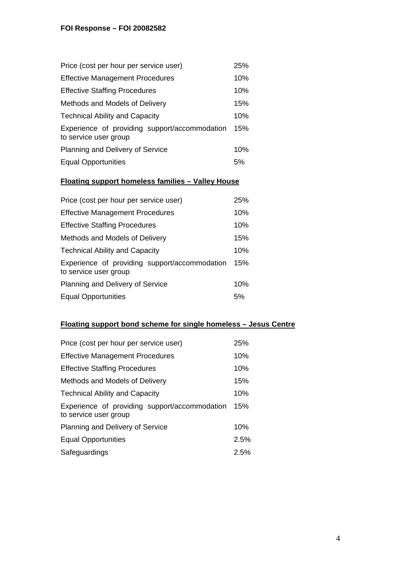# **FOI Response – FOI 20082582**

| Price (cost per hour per service user)                                 | 25% |
|------------------------------------------------------------------------|-----|
| <b>Effective Management Procedures</b>                                 | 10% |
| <b>Effective Staffing Procedures</b>                                   |     |
| Methods and Models of Delivery                                         | 15% |
| <b>Technical Ability and Capacity</b>                                  | 10% |
| Experience of providing support/accommodation<br>to service user group | 15% |
| Planning and Delivery of Service                                       | 10% |
| <b>Equal Opportunities</b>                                             | 5%  |

## **Floating support homeless families – Valley House**

| Price (cost per hour per service user)                                 | 25% |
|------------------------------------------------------------------------|-----|
| <b>Effective Management Procedures</b>                                 | 10% |
| <b>Effective Staffing Procedures</b>                                   | 10% |
| Methods and Models of Delivery                                         | 15% |
| <b>Technical Ability and Capacity</b>                                  | 10% |
| Experience of providing support/accommodation<br>to service user group | 15% |
| Planning and Delivery of Service                                       | 10% |
| <b>Equal Opportunities</b>                                             | .5% |

# **Floating support bond scheme for single homeless – Jesus Centre**

| Price (cost per hour per service user)                                 | 25%  |
|------------------------------------------------------------------------|------|
| <b>Effective Management Procedures</b>                                 | 10%  |
| <b>Effective Staffing Procedures</b>                                   | 10%  |
| Methods and Models of Delivery                                         | 15%  |
| <b>Technical Ability and Capacity</b>                                  | 10%  |
| Experience of providing support/accommodation<br>to service user group | 15%  |
| Planning and Delivery of Service                                       | 10%  |
| <b>Equal Opportunities</b>                                             | 2.5% |
| Safeguardings                                                          | 2.5% |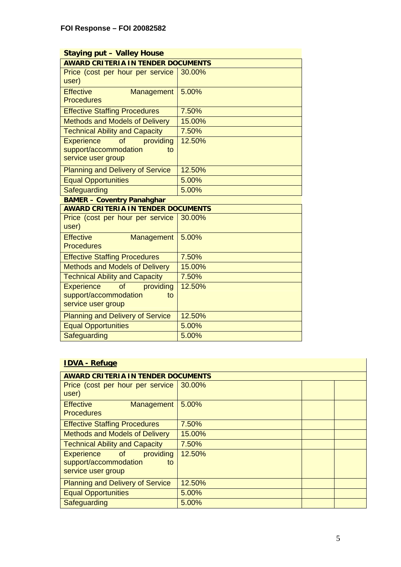| <b>Staying put - Valley House</b>         |        |  |  |
|-------------------------------------------|--------|--|--|
| <b>AWARD CRITERIA IN TENDER DOCUMENTS</b> |        |  |  |
| Price (cost per hour per service          | 30.00% |  |  |
| user)                                     |        |  |  |
| <b>Effective</b><br>Management            | 5.00%  |  |  |
| <b>Procedures</b>                         |        |  |  |
| <b>Effective Staffing Procedures</b>      | 7.50%  |  |  |
| <b>Methods and Models of Delivery</b>     | 15.00% |  |  |
| <b>Technical Ability and Capacity</b>     | 7.50%  |  |  |
| providing<br><b>Experience</b><br>of      | 12.50% |  |  |
| support/accommodation<br>to               |        |  |  |
| service user group                        |        |  |  |
| <b>Planning and Delivery of Service</b>   | 12.50% |  |  |
| <b>Equal Opportunities</b>                | 5.00%  |  |  |
| Safeguarding                              | 5.00%  |  |  |
| <b>BAMER - Coventry Panahghar</b>         |        |  |  |
| <b>AWARD CRITERIA IN TENDER DOCUMENTS</b> |        |  |  |
| Price (cost per hour per service          | 30.00% |  |  |
| user)                                     |        |  |  |
| <b>Effective</b><br>Management            | 5.00%  |  |  |
| <b>Procedures</b>                         |        |  |  |
| <b>Effective Staffing Procedures</b>      | 7.50%  |  |  |
| <b>Methods and Models of Delivery</b>     | 15.00% |  |  |
| <b>Technical Ability and Capacity</b>     | 7.50%  |  |  |
| providing<br><b>Experience</b><br>of      | 12.50% |  |  |
| support/accommodation<br>to               |        |  |  |
| service user group                        |        |  |  |
| <b>Planning and Delivery of Service</b>   | 12.50% |  |  |
| <b>Equal Opportunities</b>                | 5.00%  |  |  |
| Safeguarding                              | 5.00%  |  |  |

# **IDVA - Refuge**

| <b>AWARD CRITERIA IN TENDER DOCUMENTS</b> |        |  |  |  |
|-------------------------------------------|--------|--|--|--|
| Price (cost per hour per service          | 30.00% |  |  |  |
| user)                                     |        |  |  |  |
| <b>Effective</b><br><b>Management</b>     | 5.00%  |  |  |  |
| <b>Procedures</b>                         |        |  |  |  |
| <b>Effective Staffing Procedures</b>      | 7.50%  |  |  |  |
| <b>Methods and Models of Delivery</b>     | 15.00% |  |  |  |
| <b>Technical Ability and Capacity</b>     | 7.50%  |  |  |  |
| Experience of<br>providing                | 12.50% |  |  |  |
| support/accommodation<br>to               |        |  |  |  |
| service user group                        |        |  |  |  |
| <b>Planning and Delivery of Service</b>   | 12.50% |  |  |  |
| <b>Equal Opportunities</b>                | 5.00%  |  |  |  |
| Safeguarding                              | 5.00%  |  |  |  |